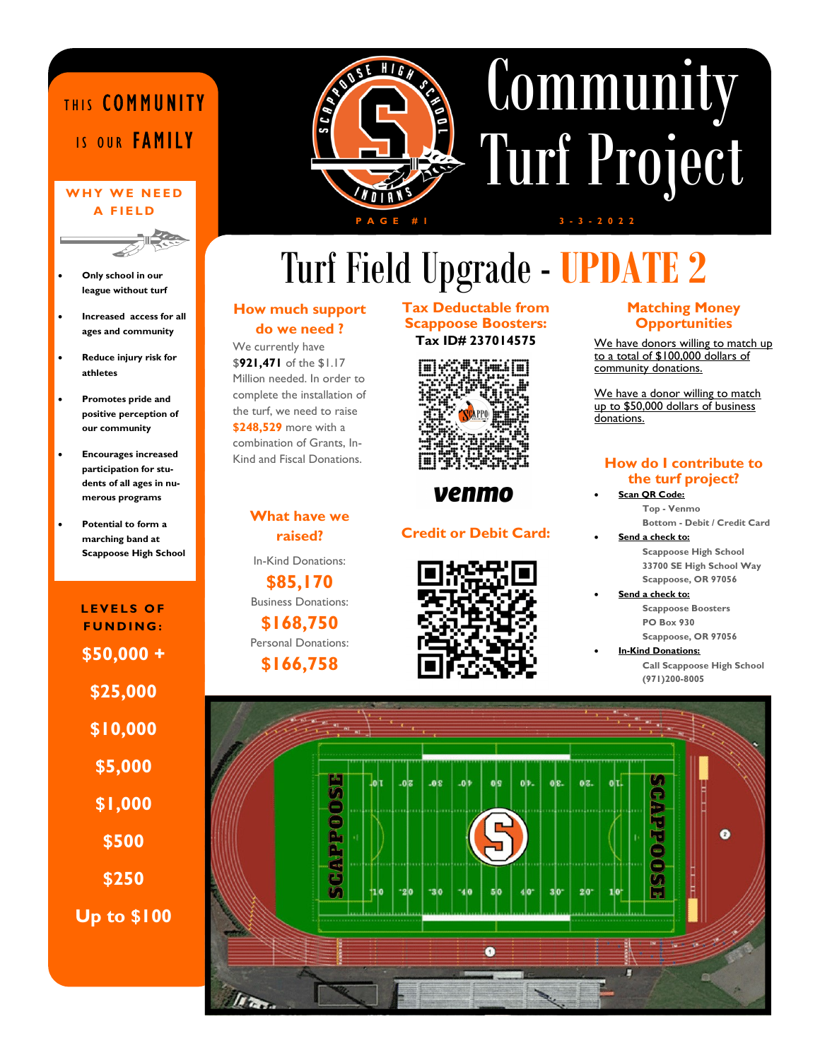## THIS COMMUNITY IS OUR FAMILY

#### WHY WE NEED A FIFID



- Only school in our league without turf
- Increased access for all ages and community
- Reduce injury risk for athletes
- Promotes pride and positive perception of our community
- Encourages increased participation for students of all ages in numerous programs
- Potential to form a marching band at Scappoose High School

LEVELS OF FUNDING: \$50,000 + \$25,000 \$10,000 \$5,000 \$1,000 \$500 Up to \$100 \$250



# **Community** Turf Project  $3 - 3 - 2 0 2 2$

# Turf Field Upgrade - UPDATE 2

#### How much support do we need ?

We currently have \$921,471 of the \$1.17 Million needed. In order to complete the installation of the turf, we need to raise \$248,529 more with a combination of Grants, In-Kind and Fiscal Donations.

#### What have we raised?

In-Kind Donations:

\$85,170 Business Donations:

\$168,750 Personal Donations:

#### \$166,758

#### Tax Deductable from Scappoose Boosters: Tax ID# 237014575



#### venmo

#### Credit or Debit Card:



#### Matching Money **Opportunities**

We have donors willing to match up to a total of \$100,000 dollars of community donations.

We have a donor willing to match up to \$50,000 dollars of business donations.

#### How do I contribute to the turf project?

- Scan QR Code: Top - Venmo Bottom - Debit / Credit Card
	- Send a check to: Scappoose High School 33700 SE High School Way
	- Scappoose, OR 97056 Send a check to: Scappoose Boosters
		- PO Box 930 Scappoose, OR 97056

 In-Kind Donations: Call Scappoose High School

(971)200-8005